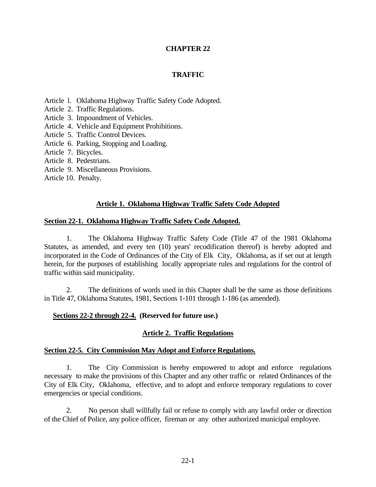## **CHAPTER 22**

#### **TRAFFIC**

Article l. Oklahoma Highway Traffic Safety Code Adopted.

- Article 2. Traffic Regulations.
- Article 3. Impoundment of Vehicles.
- Article 4. Vehicle and Equipment Prohibitions.
- Article 5. Traffic Control Devices.
- Article 6. Parking, Stopping and Loading.
- Article 7. Bicycles.
- Article 8. Pedestrians.
- Article 9. Miscellaneous Provisions.
- Article 10. Penalty.

#### **Article 1. Oklahoma Highway Traffic Safety Code Adopted**

#### **Section 22-1. Oklahoma Highway Traffic Safety Code Adopted.**

1. The Oklahoma Highway Traffic Safety Code (Title 47 of the 1981 Oklahoma Statutes, as amended, and every ten (10) years' recodification thereof) is hereby adopted and incorporated in the Code of Ordinances of the City of Elk City, Oklahoma, as if set out at length herein, for the purposes of establishing locally appropriate rules and regulations for the control of traffic within said municipality.

2. The definitions of words used in this Chapter shall be the same as those definitions in Title 47, Oklahoma Statutes, 1981, Sections 1-101 through 1-186 (as amended).

#### **Sections 22-2 through 22-4. (Reserved for future use.)**

## **Article 2. Traffic Regulations**

#### **Section 22-5. City Commission May Adopt and Enforce Regulations.**

1. The City Commission is hereby empowered to adopt and enforce regulations necessary to make the provisions of this Chapter and any other traffic or related Ordinances of the City of Elk City, Oklahoma, effective, and to adopt and enforce temporary regulations to cover emergencies or special conditions.

2. No person shall willfully fail or refuse to comply with any lawful order or direction of the Chief of Police, any police officer, fireman or any other authorized municipal employee.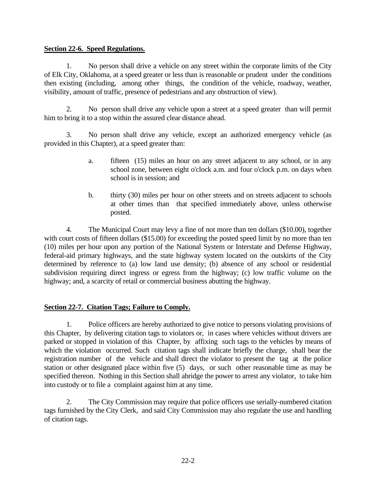#### **Section 22-6. Speed Regulations.**

1. No person shall drive a vehicle on any street within the corporate limits of the City of Elk City, Oklahoma, at a speed greater or less than is reasonable or prudent under the conditions then existing (including, among other things, the condition of the vehicle, roadway, weather, visibility, amount of traffic, presence of pedestrians and any obstruction of view).

2. No person shall drive any vehicle upon a street at a speed greater than will permit him to bring it to a stop within the assured clear distance ahead.

3. No person shall drive any vehicle, except an authorized emergency vehicle (as provided in this Chapter), at a speed greater than:

- a. fifteen (15) miles an hour on any street adjacent to any school, or in any school zone, between eight o'clock a.m. and four o'clock p.m. on days when school is in session; and
- b. thirty (30) miles per hour on other streets and on streets adjacent to schools at other times than that specified immediately above, unless otherwise posted.

4. The Municipal Court may levy a fine of not more than ten dollars (\$10.00), together with court costs of fifteen dollars (\$15.00) for exceeding the posted speed limit by no more than ten (10) miles per hour upon any portion of the National System or Interstate and Defense Highway, federal-aid primary highways, and the state highway system located on the outskirts of the City determined by reference to (a) low land use density; (b) absence of any school or residential subdivision requiring direct ingress or egress from the highway; (c) low traffic volume on the highway; and, a scarcity of retail or commercial business abutting the highway.

## **Section 22-7. Citation Tags; Failure to Comply.**

1. Police officers are hereby authorized to give notice to persons violating provisions of this Chapter, by delivering citation tags to violators or, in cases where vehicles without drivers are parked or stopped in violation of this Chapter, by affixing such tags to the vehicles by means of which the violation occurred. Such citation tags shall indicate briefly the charge, shall bear the registration number of the vehicle and shall direct the violator to present the tag at the police station or other designated place within five (5) days, or such other reasonable time as may be specified thereon. Nothing in this Section shall abridge the power to arrest any violator, to take him into custody or to file a complaint against him at any time.

2. The City Commission may require that police officers use serially-numbered citation tags furnished by the City Clerk, and said City Commission may also regulate the use and handling of citation tags.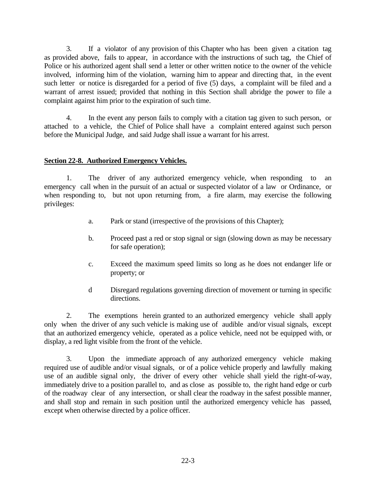3. If a violator of any provision of this Chapter who has been given a citation tag as provided above, fails to appear, in accordance with the instructions of such tag, the Chief of Police or his authorized agent shall send a letter or other written notice to the owner of the vehicle involved, informing him of the violation, warning him to appear and directing that, in the event such letter or notice is disregarded for a period of five (5) days, a complaint will be filed and a warrant of arrest issued; provided that nothing in this Section shall abridge the power to file a complaint against him prior to the expiration of such time.

4. In the event any person fails to comply with a citation tag given to such person, or attached to a vehicle, the Chief of Police shall have a complaint entered against such person before the Municipal Judge, and said Judge shall issue a warrant for his arrest.

## **Section 22-8. Authorized Emergency Vehicles.**

1. The driver of any authorized emergency vehicle, when responding to an emergency call when in the pursuit of an actual or suspected violator of a law or Ordinance, or when responding to, but not upon returning from, a fire alarm, may exercise the following privileges:

- a. Park or stand (irrespective of the provisions of this Chapter);
- b. Proceed past a red or stop signal or sign (slowing down as may be necessary for safe operation);
- c. Exceed the maximum speed limits so long as he does not endanger life or property; or
- d Disregard regulations governing direction of movement or turning in specific directions.

2. The exemptions herein granted to an authorized emergency vehicle shall apply only when the driver of any such vehicle is making use of audible and/or visual signals, except that an authorized emergency vehicle, operated as a police vehicle, need not be equipped with, or display, a red light visible from the front of the vehicle.

3. Upon the immediate approach of any authorized emergency vehicle making required use of audible and/or visual signals, or of a police vehicle properly and lawfully making use of an audible signal only, the driver of every other vehicle shall yield the right-of-way, immediately drive to a position parallel to, and as close as possible to, the right hand edge or curb of the roadway clear of any intersection, or shall clear the roadway in the safest possible manner, and shall stop and remain in such position until the authorized emergency vehicle has passed, except when otherwise directed by a police officer.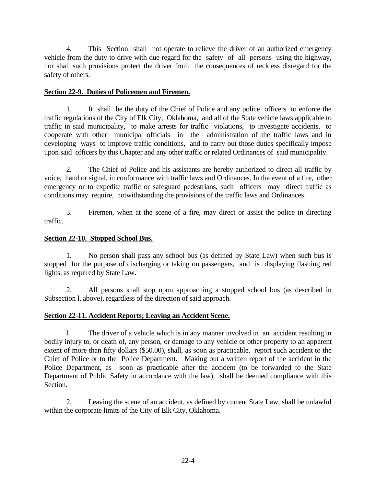4. This Section shall not operate to relieve the driver of an authorized emergency vehicle from the duty to drive with due regard for the safety of all persons using the highway, nor shall such provisions protect the driver from the consequences of reckless disregard for the safety of others.

# **Section 22-9. Duties of Policemen and Firemen.**

1. It shall be the duty of the Chief of Police and any police officers to enforce the traffic regulations of the City of Elk City, Oklahoma, and all of the State vehicle laws applicable to traffic in said municipality, to make arrests for traffic violations, to investigate accidents, to cooperate with other municipal officials in the administration of the traffic laws and in developing ways to improve traffic conditions, and to carry out those duties specifically impose upon said officers by this Chapter and any other traffic or related Ordinances of said municipality.

2. The Chief of Police and his assistants are hereby authorized to direct all traffic by voice, hand or signal, in conformance with traffic laws and Ordinances. In the event of a fire, other emergency or to expedite traffic or safeguard pedestrians, such officers may direct traffic as conditions may require, notwithstanding the provisions of the traffic laws and Ordinances.

3. Firemen, when at the scene of a fire, may direct or assist the police in directing traffic.

# **Section 22-10. Stopped School Bus.**

1. No person shall pass any school bus (as defined by State Law) when such bus is stopped for the purpose of discharging or taking on passengers, and is displaying flashing red lights, as required by State Law.

2. All persons shall stop upon approaching a stopped school bus (as described in Subsection l, above), regardless of the direction of said approach.

# **Section 22-11. Accident Reports; Leaving an Accident Scene.**

l. The driver of a vehicle which is in any manner involved in an accident resulting in bodily injury to, or death of, any person, or damage to any vehicle or other property to an apparent extent of more than fifty dollars (\$50.00), shall, as soon as practicable, report such accident to the Chief of Police or to the Police Department. Making out a written report of the accident in the Police Department, as soon as practicable after the accident (to be forwarded to the State Department of Public Safety in accordance with the law), shall be deemed compliance with this Section.

2. Leaving the scene of an accident, as defined by current State Law, shall be unlawful within the corporate limits of the City of Elk City, Oklahoma.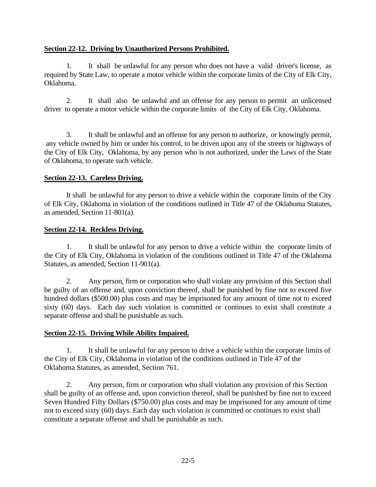## **Section 22-12. Driving by Unauthorized Persons Prohibited.**

1. It shall be unlawful for any person who does not have a valid driver's license, as required by State Law, to operate a motor vehicle within the corporate limits of the City of Elk City, Oklahoma.

2. It shall also be unlawful and an offense for any person to permit an unlicensed driver to operate a motor vehicle within the corporate limits of the City of Elk City, Oklahoma.

3. It shall be unlawful and an offense for any person to authorize, or knowingly permit, any vehicle owned by him or under his control, to be driven upon any of the streets or highways of the City of Elk City, Oklahoma, by any person who is not authorized, under the Laws of the State of Oklahoma, to operate such vehicle.

## **Section 22-13. Careless Driving.**

It shall be unlawful for any person to drive a vehicle within the corporate limits of the City of Elk City, Oklahoma in violation of the conditions outlined in Title 47 of the Oklahoma Statutes, as amended, Section 11-801(a).

# **Section 22-14. Reckless Driving.**

1. It shall be unlawful for any person to drive a vehicle within the corporate limits of the City of Elk City, Oklahoma in violation of the conditions outlined in Title 47 of the Oklahoma Statutes, as amended, Section 11-901(a).

2. Any person, firm or corporation who shall violate any provision of this Section shall be guilty of an offense and, upon conviction thereof, shall be punished by fine not to exceed five hundred dollars (\$500.00) plus costs and may be imprisoned for any amount of time not to exceed sixty (60) days. Each day such violation is committed or continues to exist shall constitute a separate offense and shall be punishable as such.

# **Section 22-15. Driving While Ability Impaired.**

1. It shall be unlawful for any person to drive a vehicle within the corporate limits of the City of Elk City, Oklahoma in violation of the conditions outlined in Title 47 of the Oklahoma Statutes, as amended, Section 761.

2. Any person, firm or corporation who shall violation any provision of this Section shall be guilty of an offense and, upon conviction thereof, shall be punished by fine not to exceed Seven Hundred Fifty Dollars (\$750.00) plus costs and may be imprisoned for any amount of time not to exceed sixty (60) days. Each day such violation is committed or continues to exist shall constitute a separate offense and shall be punishable as such.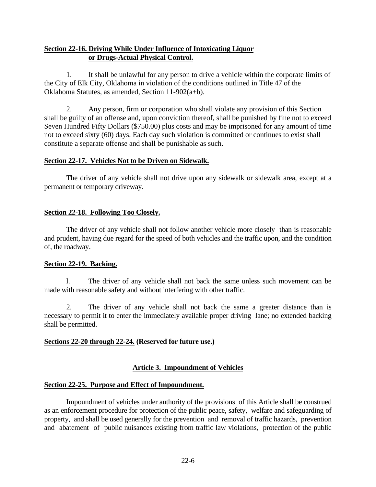# **Section 22-16. Driving While Under Influence of Intoxicating Liquor or Drugs-Actual Physical Control.**

1. It shall be unlawful for any person to drive a vehicle within the corporate limits of the City of Elk City, Oklahoma in violation of the conditions outlined in Title 47 of the Oklahoma Statutes, as amended, Section 11-902(a+b).

2. Any person, firm or corporation who shall violate any provision of this Section shall be guilty of an offense and, upon conviction thereof, shall be punished by fine not to exceed Seven Hundred Fifty Dollars (\$750.00) plus costs and may be imprisoned for any amount of time not to exceed sixty (60) days. Each day such violation is committed or continues to exist shall constitute a separate offense and shall be punishable as such.

## **Section 22-17. Vehicles Not to be Driven on Sidewalk.**

The driver of any vehicle shall not drive upon any sidewalk or sidewalk area, except at a permanent or temporary driveway.

## **Section 22-18. Following Too Closely.**

The driver of any vehicle shall not follow another vehicle more closely than is reasonable and prudent, having due regard for the speed of both vehicles and the traffic upon, and the condition of, the roadway.

#### **Section 22-19. Backing.**

l. The driver of any vehicle shall not back the same unless such movement can be made with reasonable safety and without interfering with other traffic.

2. The driver of any vehicle shall not back the same a greater distance than is necessary to permit it to enter the immediately available proper driving lane; no extended backing shall be permitted.

## **Sections 22-20 through 22-24. (Reserved for future use.)**

## **Article 3. Impoundment of Vehicles**

#### **Section 22-25. Purpose and Effect of Impoundment.**

Impoundment of vehicles under authority of the provisions of this Article shall be construed as an enforcement procedure for protection of the public peace, safety, welfare and safeguarding of property, and shall be used generally for the prevention and removal of traffic hazards, prevention and abatement of public nuisances existing from traffic law violations, protection of the public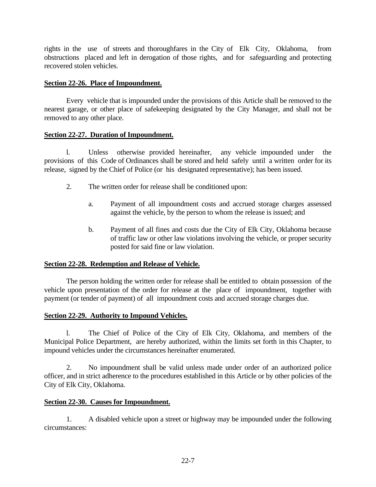rights in the use of streets and thoroughfares in the City of Elk City, Oklahoma, from obstructions placed and left in derogation of those rights, and for safeguarding and protecting recovered stolen vehicles.

#### **Section 22-26. Place of Impoundment.**

Every vehicle that is impounded under the provisions of this Article shall be removed to the nearest garage, or other place of safekeeping designated by the City Manager, and shall not be removed to any other place.

#### **Section 22-27. Duration of Impoundment.**

l. Unless otherwise provided hereinafter, any vehicle impounded under the provisions of this Code of Ordinances shall be stored and held safely until a written order for its release, signed by the Chief of Police (or his designated representative); has been issued.

- 2. The written order for release shall be conditioned upon:
	- a. Payment of all impoundment costs and accrued storage charges assessed against the vehicle, by the person to whom the release is issued; and
	- b. Payment of all fines and costs due the City of Elk City, Oklahoma because of traffic law or other law violations involving the vehicle, or proper security posted for said fine or law violation.

## **Section 22-28. Redemption and Release of Vehicle.**

The person holding the written order for release shall be entitled to obtain possession of the vehicle upon presentation of the order for release at the place of impoundment, together with payment (or tender of payment) of all impoundment costs and accrued storage charges due.

## **Section 22-29. Authority to Impound Vehicles.**

l. The Chief of Police of the City of Elk City, Oklahoma, and members of the Municipal Police Department, are hereby authorized, within the limits set forth in this Chapter, to impound vehicles under the circumstances hereinafter enumerated.

2. No impoundment shall be valid unless made under order of an authorized police officer, and in strict adherence to the procedures established in this Article or by other policies of the City of Elk City, Oklahoma.

## **Section 22-30. Causes for Impoundment.**

1. A disabled vehicle upon a street or highway may be impounded under the following circumstances: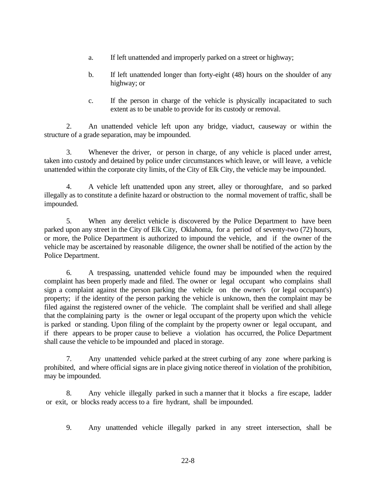- a. If left unattended and improperly parked on a street or highway;
- b. If left unattended longer than forty-eight (48) hours on the shoulder of any highway; or
- c. If the person in charge of the vehicle is physically incapacitated to such extent as to be unable to provide for its custody or removal.

2. An unattended vehicle left upon any bridge, viaduct, causeway or within the structure of a grade separation, may be impounded.

3. Whenever the driver, or person in charge, of any vehicle is placed under arrest, taken into custody and detained by police under circumstances which leave, or will leave, a vehicle unattended within the corporate city limits, of the City of Elk City, the vehicle may be impounded.

4. A vehicle left unattended upon any street, alley or thoroughfare, and so parked illegally as to constitute a definite hazard or obstruction to the normal movement of traffic, shall be impounded.

5. When any derelict vehicle is discovered by the Police Department to have been parked upon any street in the City of Elk City, Oklahoma, for a period of seventy-two (72) hours, or more, the Police Department is authorized to impound the vehicle, and if the owner of the vehicle may be ascertained by reasonable diligence, the owner shall be notified of the action by the Police Department.

6. A trespassing, unattended vehicle found may be impounded when the required complaint has been properly made and filed. The owner or legal occupant who complains shall sign a complaint against the person parking the vehicle on the owner's (or legal occupant's) property; if the identity of the person parking the vehicle is unknown, then the complaint may be filed against the registered owner of the vehicle. The complaint shall be verified and shall allege that the complaining party is the owner or legal occupant of the property upon which the vehicle is parked or standing. Upon filing of the complaint by the property owner or legal occupant, and if there appears to be proper cause to believe a violation has occurred, the Police Department shall cause the vehicle to be impounded and placed in storage.

7. Any unattended vehicle parked at the street curbing of any zone where parking is prohibited, and where official signs are in place giving notice thereof in violation of the prohibition, may be impounded.

8. Any vehicle illegally parked in such a manner that it blocks a fire escape, ladder or exit, or blocks ready access to a fire hydrant, shall be impounded.

9. Any unattended vehicle illegally parked in any street intersection, shall be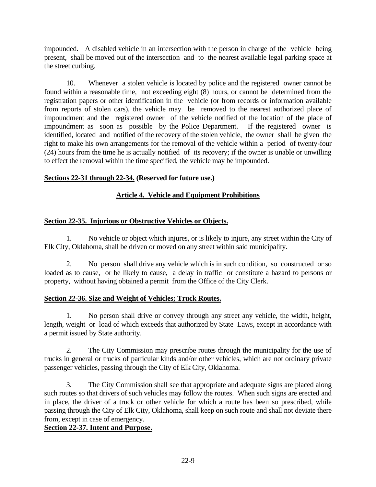impounded. A disabled vehicle in an intersection with the person in charge of the vehicle being present, shall be moved out of the intersection and to the nearest available legal parking space at the street curbing.

10. Whenever a stolen vehicle is located by police and the registered owner cannot be found within a reasonable time, not exceeding eight (8) hours, or cannot be determined from the registration papers or other identification in the vehicle (or from records or information available from reports of stolen cars), the vehicle may be removed to the nearest authorized place of impoundment and the registered owner of the vehicle notified of the location of the place of impoundment as soon as possible by the Police Department. If the registered owner is identified, located and notified of the recovery of the stolen vehicle, the owner shall be given the right to make his own arrangements for the removal of the vehicle within a period of twenty-four (24) hours from the time he is actually notified of its recovery; if the owner is unable or unwilling to effect the removal within the time specified, the vehicle may be impounded.

## **Sections 22-31 through 22-34. (Reserved for future use.)**

# **Article 4. Vehicle and Equipment Prohibitions**

## **Section 22-35. Injurious or Obstructive Vehicles or Objects.**

1. No vehicle or object which injures, or is likely to injure, any street within the City of Elk City, Oklahoma, shall be driven or moved on any street within said municipality.

2. No person shall drive any vehicle which is in such condition, so constructed or so loaded as to cause, or be likely to cause, a delay in traffic or constitute a hazard to persons or property, without having obtained a permit from the Office of the City Clerk.

## **Section 22-36. Size and Weight of Vehicles; Truck Routes.**

1. No person shall drive or convey through any street any vehicle, the width, height, length, weight or load of which exceeds that authorized by State Laws, except in accordance with a permit issued by State authority.

2. The City Commission may prescribe routes through the municipality for the use of trucks in general or trucks of particular kinds and/or other vehicles, which are not ordinary private passenger vehicles, passing through the City of Elk City, Oklahoma.

3. The City Commission shall see that appropriate and adequate signs are placed along such routes so that drivers of such vehicles may follow the routes. When such signs are erected and in place, the driver of a truck or other vehicle for which a route has been so prescribed, while passing through the City of Elk City, Oklahoma, shall keep on such route and shall not deviate there from, except in case of emergency.

## **Section 22-37. Intent and Purpose.**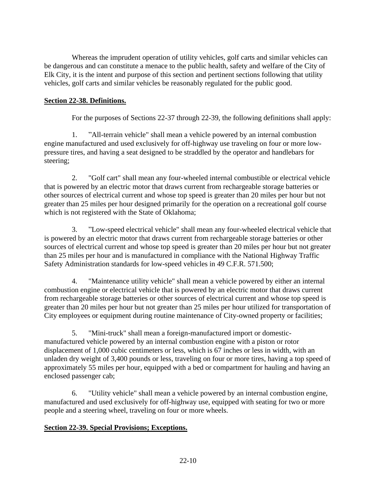Whereas the imprudent operation of utility vehicles, golf carts and similar vehicles can be dangerous and can constitute a menace to the public health, safety and welfare of the City of Elk City, it is the intent and purpose of this section and pertinent sections following that utility vehicles, golf carts and similar vehicles be reasonably regulated for the public good.

# **Section 22-38. Definitions.**

For the purposes of Sections 22-37 through 22-39, the following definitions shall apply:

 1. "All-terrain vehicle" shall mean a vehicle powered by an internal combustion engine manufactured and used exclusively for off-highway use traveling on four or more lowpressure tires, and having a seat designed to be straddled by the operator and handlebars for steering;

 2. "Golf cart" shall mean any four-wheeled internal combustible or electrical vehicle that is powered by an electric motor that draws current from rechargeable storage batteries or other sources of electrical current and whose top speed is greater than 20 miles per hour but not greater than 25 miles per hour designed primarily for the operation on a recreational golf course which is not registered with the State of Oklahoma;

 3. "Low-speed electrical vehicle" shall mean any four-wheeled electrical vehicle that is powered by an electric motor that draws current from rechargeable storage batteries or other sources of electrical current and whose top speed is greater than 20 miles per hour but not greater than 25 miles per hour and is manufactured in compliance with the National Highway Traffic Safety Administration standards for low-speed vehicles in 49 C.F.R. 571.500;

 4. "Maintenance utility vehicle" shall mean a vehicle powered by either an internal combustion engine or electrical vehicle that is powered by an electric motor that draws current from rechargeable storage batteries or other sources of electrical current and whose top speed is greater than 20 miles per hour but not greater than 25 miles per hour utilized for transportation of City employees or equipment during routine maintenance of City-owned property or facilities;

 5. "Mini-truck" shall mean a foreign-manufactured import or domesticmanufactured vehicle powered by an internal combustion engine with a piston or rotor displacement of 1,000 cubic centimeters or less, which is 67 inches or less in width, with an unladen dry weight of 3,400 pounds or less, traveling on four or more tires, having a top speed of approximately 55 miles per hour, equipped with a bed or compartment for hauling and having an enclosed passenger cab;

 6. "Utility vehicle" shall mean a vehicle powered by an internal combustion engine, manufactured and used exclusively for off-highway use, equipped with seating for two or more people and a steering wheel, traveling on four or more wheels.

## **Section 22-39. Special Provisions; Exceptions.**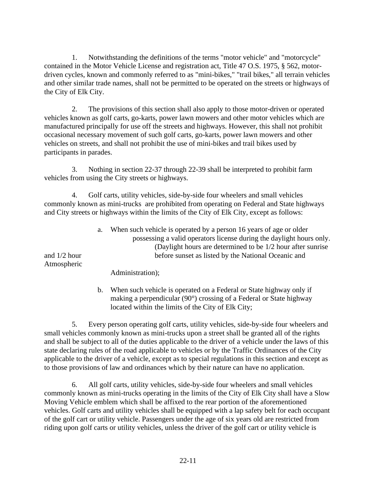1. Notwithstanding the definitions of the terms "motor vehicle" and "motorcycle" contained in the Motor Vehicle License and registration act, Title 47 O.S. 1975, § 562, motordriven cycles, known and commonly referred to as "mini-bikes," "trail bikes," all terrain vehicles and other similar trade names, shall not be permitted to be operated on the streets or highways of the City of Elk City.

 2. The provisions of this section shall also apply to those motor-driven or operated vehicles known as golf carts, go-karts, power lawn mowers and other motor vehicles which are manufactured principally for use off the streets and highways. However, this shall not prohibit occasional necessary movement of such golf carts, go-karts, power lawn mowers and other vehicles on streets, and shall not prohibit the use of mini-bikes and trail bikes used by participants in parades.

 3. Nothing in section 22-37 through 22-39 shall be interpreted to prohibit farm vehicles from using the City streets or highways.

 4. Golf carts, utility vehicles, side-by-side four wheelers and small vehicles commonly known as mini-trucks are prohibited from operating on Federal and State highways and City streets or highways within the limits of the City of Elk City, except as follows:

|                               | a. | When such vehicle is operated by a person 16 years of age or older<br>possessing a valid operators license during the daylight hours only. |
|-------------------------------|----|--------------------------------------------------------------------------------------------------------------------------------------------|
|                               |    | (Daylight hours are determined to be 1/2 hour after sunrise)                                                                               |
| and $1/2$ hour<br>Atmospheric |    | before sunset as listed by the National Oceanic and                                                                                        |
|                               |    | Administration);                                                                                                                           |

 b. When such vehicle is operated on a Federal or State highway only if making a perpendicular (90°) crossing of a Federal or State highway located within the limits of the City of Elk City;

 5. Every person operating golf carts, utility vehicles, side-by-side four wheelers and small vehicles commonly known as mini-trucks upon a street shall be granted all of the rights and shall be subject to all of the duties applicable to the driver of a vehicle under the laws of this state declaring rules of the road applicable to vehicles or by the Traffic Ordinances of the City applicable to the driver of a vehicle, except as to special regulations in this section and except as to those provisions of law and ordinances which by their nature can have no application.

 6. All golf carts, utility vehicles, side-by-side four wheelers and small vehicles commonly known as mini-trucks operating in the limits of the City of Elk City shall have a Slow Moving Vehicle emblem which shall be affixed to the rear portion of the aforementioned vehicles. Golf carts and utility vehicles shall be equipped with a lap safety belt for each occupant of the golf cart or utility vehicle. Passengers under the age of six years old are restricted from riding upon golf carts or utility vehicles, unless the driver of the golf cart or utility vehicle is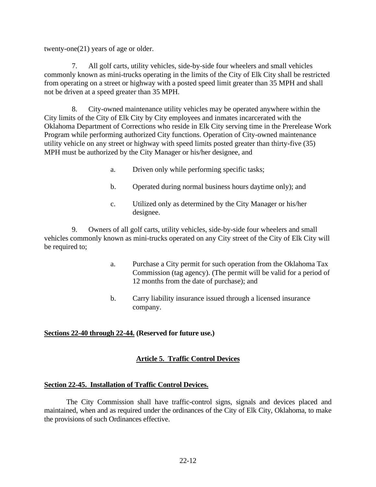twenty-one(21) years of age or older.

 7. All golf carts, utility vehicles, side-by-side four wheelers and small vehicles commonly known as mini-trucks operating in the limits of the City of Elk City shall be restricted from operating on a street or highway with a posted speed limit greater than 35 MPH and shall not be driven at a speed greater than 35 MPH.

 8. City-owned maintenance utility vehicles may be operated anywhere within the City limits of the City of Elk City by City employees and inmates incarcerated with the Oklahoma Department of Corrections who reside in Elk City serving time in the Prerelease Work Program while performing authorized City functions. Operation of City-owned maintenance utility vehicle on any street or highway with speed limits posted greater than thirty-five (35) MPH must be authorized by the City Manager or his/her designee, and

- a. Driven only while performing specific tasks;
- b. Operated during normal business hours daytime only); and
- c. Utilized only as determined by the City Manager or his/her designee.

 9. Owners of all golf carts, utility vehicles, side-by-side four wheelers and small vehicles commonly known as mini-trucks operated on any City street of the City of Elk City will be required to;

- a. Purchase a City permit for such operation from the Oklahoma Tax Commission (tag agency). (The permit will be valid for a period of 12 months from the date of purchase); and
- b. Carry liability insurance issued through a licensed insurance company.

## **Sections 22-40 through 22-44. (Reserved for future use.)**

# **Article 5. Traffic Control Devices**

## **Section 22-45. Installation of Traffic Control Devices.**

The City Commission shall have traffic-control signs, signals and devices placed and maintained, when and as required under the ordinances of the City of Elk City, Oklahoma, to make the provisions of such Ordinances effective.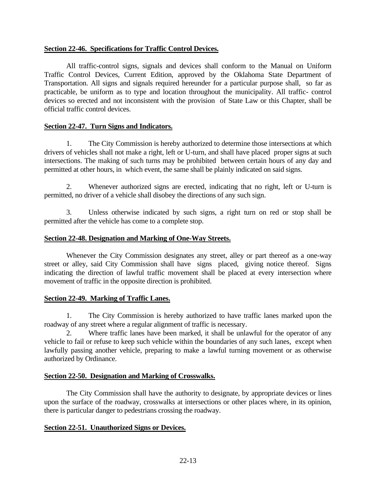#### **Section 22-46. Specifications for Traffic Control Devices.**

All traffic-control signs, signals and devices shall conform to the Manual on Uniform Traffic Control Devices, Current Edition, approved by the Oklahoma State Department of Transportation. All signs and signals required hereunder for a particular purpose shall, so far as practicable, be uniform as to type and location throughout the municipality. All traffic- control devices so erected and not inconsistent with the provision of State Law or this Chapter, shall be official traffic control devices.

#### **Section 22-47. Turn Signs and Indicators.**

1. The City Commission is hereby authorized to determine those intersections at which drivers of vehicles shall not make a right, left or U-turn, and shall have placed proper signs at such intersections. The making of such turns may be prohibited between certain hours of any day and permitted at other hours, in which event, the same shall be plainly indicated on said signs.

2. Whenever authorized signs are erected, indicating that no right, left or U-turn is permitted, no driver of a vehicle shall disobey the directions of any such sign.

3. Unless otherwise indicated by such signs, a right turn on red or stop shall be permitted after the vehicle has come to a complete stop.

#### **Section 22-48. Designation and Marking of One-Way Streets.**

Whenever the City Commission designates any street, alley or part thereof as a one-way street or alley, said City Commission shall have signs placed, giving notice thereof. Signs indicating the direction of lawful traffic movement shall be placed at every intersection where movement of traffic in the opposite direction is prohibited.

#### **Section 22-49. Marking of Traffic Lanes.**

1. The City Commission is hereby authorized to have traffic lanes marked upon the roadway of any street where a regular alignment of traffic is necessary.

Where traffic lanes have been marked, it shall be unlawful for the operator of any vehicle to fail or refuse to keep such vehicle within the boundaries of any such lanes, except when lawfully passing another vehicle, preparing to make a lawful turning movement or as otherwise authorized by Ordinance.

## **Section 22-50. Designation and Marking of Crosswalks.**

The City Commission shall have the authority to designate, by appropriate devices or lines upon the surface of the roadway, crosswalks at intersections or other places where, in its opinion, there is particular danger to pedestrians crossing the roadway.

## **Section 22-51. Unauthorized Signs or Devices.**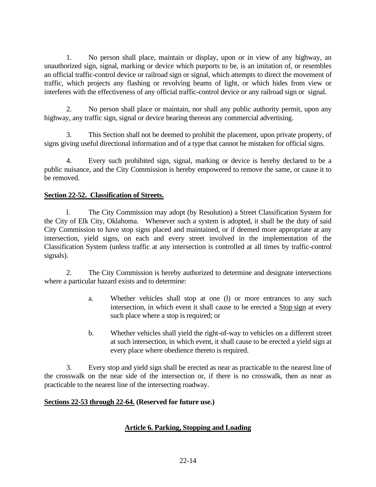1. No person shall place, maintain or display, upon or in view of any highway, an unauthorized sign, signal, marking or device which purports to be, is an imitation of, or resembles an official traffic-control device or railroad sign or signal, which attempts to direct the movement of traffic, which projects any flashing or revolving beams of light, or which hides from view or interferes with the effectiveness of any official traffic-control device or any railroad sign or signal.

2. No person shall place or maintain, nor shall any public authority permit, upon any highway, any traffic sign, signal or device bearing thereon any commercial advertising.

3. This Section shall not be deemed to prohibit the placement, upon private property, of signs giving useful directional information and of a type that cannot be mistaken for official signs.

4. Every such prohibited sign, signal, marking or device is hereby declared to be a public nuisance, and the City Commission is hereby empowered to remove the same, or cause it to be removed.

# **Section 22-52. Classification of Streets.**

l. The City Commission may adopt (by Resolution) a Street Classification System for the City of Elk City, Oklahoma. Whenever such a system is adopted, it shall be the duty of said City Commission to have stop signs placed and maintained, or if deemed more appropriate at any intersection, yield signs, on each and every street involved in the implementation of the Classification System (unless traffic at any intersection is controlled at all times by traffic-control signals).

2. The City Commission is hereby authorized to determine and designate intersections where a particular hazard exists and to determine:

- a. Whether vehicles shall stop at one (l) or more entrances to any such intersection, in which event it shall cause to be erected a Stop sign at every such place where a stop is required; or
- b. Whether vehicles shall yield the right-of-way to vehicles on a different street at such intersection, in which event, it shall cause to be erected a yield sign at every place where obedience thereto is required.

3. Every stop and yield sign shall be erected as near as practicable to the nearest line of the crosswalk on the near side of the intersection or, if there is no crosswalk, then as near as practicable to the nearest line of the intersecting roadway.

## **Sections 22-53 through 22-64. (Reserved for future use.)**

# **Article 6. Parking, Stopping and Loading**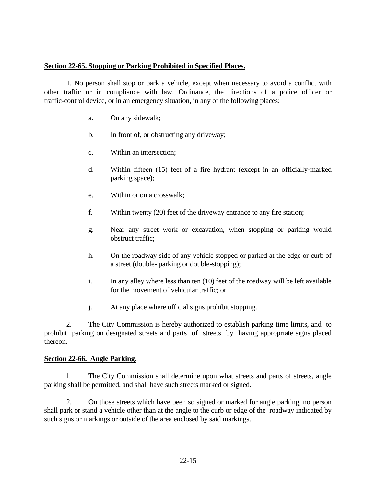#### **Section 22-65. Stopping or Parking Prohibited in Specified Places.**

1. No person shall stop or park a vehicle, except when necessary to avoid a conflict with other traffic or in compliance with law, Ordinance, the directions of a police officer or traffic-control device, or in an emergency situation, in any of the following places:

- a. On any sidewalk;
- b. In front of, or obstructing any driveway;
- c. Within an intersection;
- d. Within fifteen (15) feet of a fire hydrant (except in an officially-marked parking space);
- e. Within or on a crosswalk;
- f. Within twenty (20) feet of the driveway entrance to any fire station;
- g. Near any street work or excavation, when stopping or parking would obstruct traffic;
- h. On the roadway side of any vehicle stopped or parked at the edge or curb of a street (double- parking or double-stopping);
- i. In any alley where less than ten (10) feet of the roadway will be left available for the movement of vehicular traffic; or
- j. At any place where official signs prohibit stopping.

2. The City Commission is hereby authorized to establish parking time limits, and to prohibit parking on designated streets and parts of streets by having appropriate signs placed thereon.

#### **Section 22-66. Angle Parking.**

l. The City Commission shall determine upon what streets and parts of streets, angle parking shall be permitted, and shall have such streets marked or signed.

2. On those streets which have been so signed or marked for angle parking, no person shall park or stand a vehicle other than at the angle to the curb or edge of the roadway indicated by such signs or markings or outside of the area enclosed by said markings.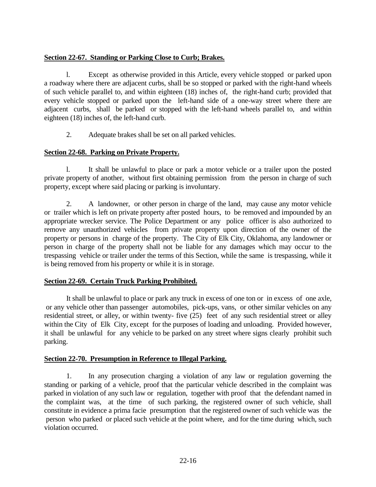## **Section 22-67. Standing or Parking Close to Curb; Brakes.**

l. Except as otherwise provided in this Article, every vehicle stopped or parked upon a roadway where there are adjacent curbs, shall be so stopped or parked with the right-hand wheels of such vehicle parallel to, and within eighteen (18) inches of, the right-hand curb; provided that every vehicle stopped or parked upon the left-hand side of a one-way street where there are adjacent curbs, shall be parked or stopped with the left-hand wheels parallel to, and within eighteen (18) inches of, the left-hand curb.

2. Adequate brakes shall be set on all parked vehicles.

# **Section 22-68. Parking on Private Property.**

l. It shall be unlawful to place or park a motor vehicle or a trailer upon the posted private property of another, without first obtaining permission from the person in charge of such property, except where said placing or parking is involuntary.

2. A landowner, or other person in charge of the land, may cause any motor vehicle or trailer which is left on private property after posted hours, to be removed and impounded by an appropriate wrecker service. The Police Department or any police officer is also authorized to remove any unauthorized vehicles from private property upon direction of the owner of the property or persons in charge of the property. The City of Elk City, Oklahoma, any landowner or person in charge of the property shall not be liable for any damages which may occur to the trespassing vehicle or trailer under the terms of this Section, while the same is trespassing, while it is being removed from his property or while it is in storage.

# **Section 22-69. Certain Truck Parking Prohibited.**

It shall be unlawful to place or park any truck in excess of one ton or in excess of one axle, or any vehicle other than passenger automobiles, pick-ups, vans, or other similar vehicles on any residential street, or alley, or within twenty- five (25) feet of any such residential street or alley within the City of Elk City, except for the purposes of loading and unloading. Provided however, it shall be unlawful for any vehicle to be parked on any street where signs clearly prohibit such parking.

## **Section 22-70. Presumption in Reference to Illegal Parking.**

1. In any prosecution charging a violation of any law or regulation governing the standing or parking of a vehicle, proof that the particular vehicle described in the complaint was parked in violation of any such law or regulation, together with proof that the defendant named in the complaint was, at the time of such parking, the registered owner of such vehicle, shall constitute in evidence a prima facie presumption that the registered owner of such vehicle was the person who parked or placed such vehicle at the point where, and for the time during which, such violation occurred.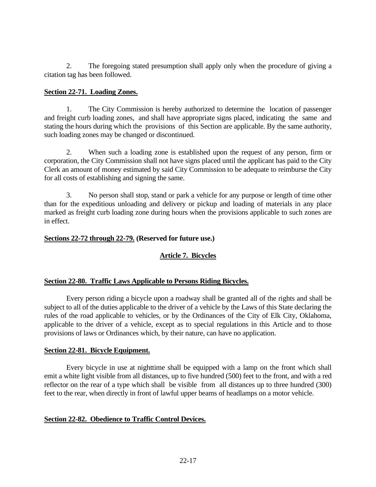2. The foregoing stated presumption shall apply only when the procedure of giving a citation tag has been followed.

#### **Section 22-71. Loading Zones.**

1. The City Commission is hereby authorized to determine the location of passenger and freight curb loading zones, and shall have appropriate signs placed, indicating the same and stating the hours during which the provisions of this Section are applicable. By the same authority, such loading zones may be changed or discontinued.

2. When such a loading zone is established upon the request of any person, firm or corporation, the City Commission shall not have signs placed until the applicant has paid to the City Clerk an amount of money estimated by said City Commission to be adequate to reimburse the City for all costs of establishing and signing the same.

3. No person shall stop, stand or park a vehicle for any purpose or length of time other than for the expeditious unloading and delivery or pickup and loading of materials in any place marked as freight curb loading zone during hours when the provisions applicable to such zones are in effect.

#### **Sections 22-72 through 22-79. (Reserved for future use.)**

# **Article 7. Bicycles**

## **Section 22-80. Traffic Laws Applicable to Persons Riding Bicycles.**

Every person riding a bicycle upon a roadway shall be granted all of the rights and shall be subject to all of the duties applicable to the driver of a vehicle by the Laws of this State declaring the rules of the road applicable to vehicles, or by the Ordinances of the City of Elk City, Oklahoma, applicable to the driver of a vehicle, except as to special regulations in this Article and to those provisions of laws or Ordinances which, by their nature, can have no application.

#### **Section 22-81. Bicycle Equipment.**

Every bicycle in use at nighttime shall be equipped with a lamp on the front which shall emit a white light visible from all distances, up to five hundred (500) feet to the front, and with a red reflector on the rear of a type which shall be visible from all distances up to three hundred (300) feet to the rear, when directly in front of lawful upper beams of headlamps on a motor vehicle.

#### **Section 22-82. Obedience to Traffic Control Devices.**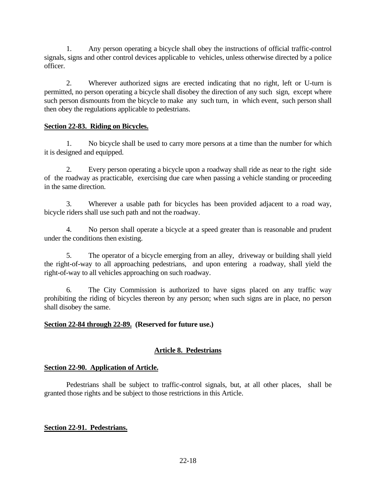1. Any person operating a bicycle shall obey the instructions of official traffic-control signals, signs and other control devices applicable to vehicles, unless otherwise directed by a police officer.

2. Wherever authorized signs are erected indicating that no right, left or U-turn is permitted, no person operating a bicycle shall disobey the direction of any such sign, except where such person dismounts from the bicycle to make any such turn, in which event, such person shall then obey the regulations applicable to pedestrians.

## **Section 22-83. Riding on Bicycles.**

1. No bicycle shall be used to carry more persons at a time than the number for which it is designed and equipped.

2. Every person operating a bicycle upon a roadway shall ride as near to the right side of the roadway as practicable, exercising due care when passing a vehicle standing or proceeding in the same direction.

3. Wherever a usable path for bicycles has been provided adjacent to a road way, bicycle riders shall use such path and not the roadway.

4. No person shall operate a bicycle at a speed greater than is reasonable and prudent under the conditions then existing.

5. The operator of a bicycle emerging from an alley, driveway or building shall yield the right-of-way to all approaching pedestrians, and upon entering a roadway, shall yield the right-of-way to all vehicles approaching on such roadway.

6. The City Commission is authorized to have signs placed on any traffic way prohibiting the riding of bicycles thereon by any person; when such signs are in place, no person shall disobey the same.

# **Section 22-84 through 22-89. (Reserved for future use.)**

# **Article 8. Pedestrians**

# **Section 22-90. Application of Article.**

Pedestrians shall be subject to traffic-control signals, but, at all other places, shall be granted those rights and be subject to those restrictions in this Article.

# **Section 22-91. Pedestrians.**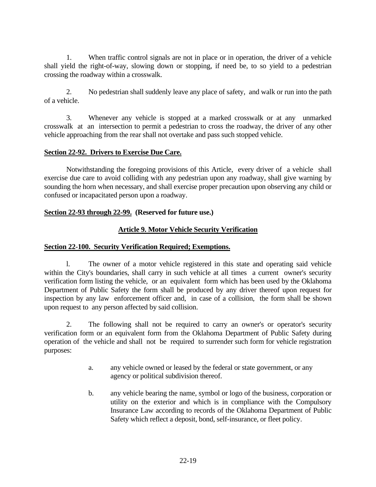1. When traffic control signals are not in place or in operation, the driver of a vehicle shall yield the right-of-way, slowing down or stopping, if need be, to so yield to a pedestrian crossing the roadway within a crosswalk.

2. No pedestrian shall suddenly leave any place of safety, and walk or run into the path of a vehicle.

3. Whenever any vehicle is stopped at a marked crosswalk or at any unmarked crosswalk at an intersection to permit a pedestrian to cross the roadway, the driver of any other vehicle approaching from the rear shall not overtake and pass such stopped vehicle.

#### **Section 22-92. Drivers to Exercise Due Care.**

Notwithstanding the foregoing provisions of this Article, every driver of a vehicle shall exercise due care to avoid colliding with any pedestrian upon any roadway, shall give warning by sounding the horn when necessary, and shall exercise proper precaution upon observing any child or confused or incapacitated person upon a roadway.

#### **Section 22-93 through 22-99. (Reserved for future use.)**

## **Article 9. Motor Vehicle Security Verification**

#### **Section 22-100. Security Verification Required; Exemptions.**

l. The owner of a motor vehicle registered in this state and operating said vehicle within the City's boundaries, shall carry in such vehicle at all times a current owner's security verification form listing the vehicle, or an equivalent form which has been used by the Oklahoma Department of Public Safety the form shall be produced by any driver thereof upon request for inspection by any law enforcement officer and, in case of a collision, the form shall be shown upon request to any person affected by said collision.

2. The following shall not be required to carry an owner's or operator's security verification form or an equivalent form from the Oklahoma Department of Public Safety during operation of the vehicle and shall not be required to surrender such form for vehicle registration purposes:

- a. any vehicle owned or leased by the federal or state government, or any agency or political subdivision thereof.
- b. any vehicle bearing the name, symbol or logo of the business, corporation or utility on the exterior and which is in compliance with the Compulsory Insurance Law according to records of the Oklahoma Department of Public Safety which reflect a deposit, bond, self-insurance, or fleet policy.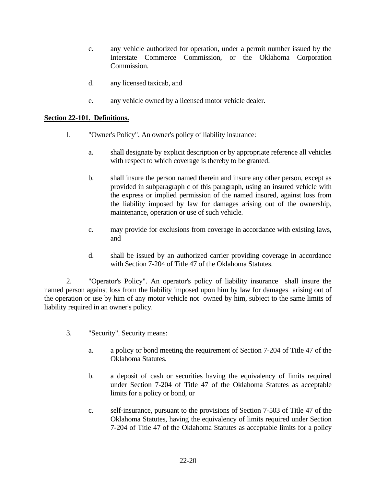- c. any vehicle authorized for operation, under a permit number issued by the Interstate Commerce Commission, or the Oklahoma Corporation Commission.
- d. any licensed taxicab, and
- e. any vehicle owned by a licensed motor vehicle dealer.

#### **Section 22-101. Definitions.**

- l. "Owner's Policy". An owner's policy of liability insurance:
	- a. shall designate by explicit description or by appropriate reference all vehicles with respect to which coverage is thereby to be granted.
	- b. shall insure the person named therein and insure any other person, except as provided in subparagraph c of this paragraph, using an insured vehicle with the express or implied permission of the named insured, against loss from the liability imposed by law for damages arising out of the ownership, maintenance, operation or use of such vehicle.
	- c. may provide for exclusions from coverage in accordance with existing laws, and
	- d. shall be issued by an authorized carrier providing coverage in accordance with Section 7-204 of Title 47 of the Oklahoma Statutes.

2. "Operator's Policy". An operator's policy of liability insurance shall insure the named person against loss from the liability imposed upon him by law for damages arising out of the operation or use by him of any motor vehicle not owned by him, subject to the same limits of liability required in an owner's policy.

- 3. "Security". Security means:
	- a. a policy or bond meeting the requirement of Section 7-204 of Title 47 of the Oklahoma Statutes.
	- b. a deposit of cash or securities having the equivalency of limits required under Section 7-204 of Title 47 of the Oklahoma Statutes as acceptable limits for a policy or bond, or
	- c. self-insurance, pursuant to the provisions of Section 7-503 of Title 47 of the Oklahoma Statutes, having the equivalency of limits required under Section 7-204 of Title 47 of the Oklahoma Statutes as acceptable limits for a policy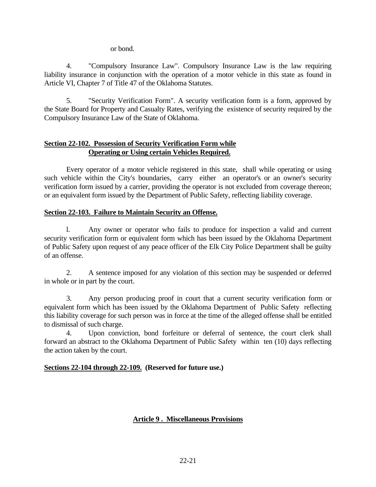or bond.

4. "Compulsory Insurance Law". Compulsory Insurance Law is the law requiring liability insurance in conjunction with the operation of a motor vehicle in this state as found in Article VI, Chapter 7 of Title 47 of the Oklahoma Statutes.

5. "Security Verification Form". A security verification form is a form, approved by the State Board for Property and Casualty Rates, verifying the existence of security required by the Compulsory Insurance Law of the State of Oklahoma.

# **Section 22-102. Possession of Security Verification Form while Operating or Using certain Vehicles Required.**

Every operator of a motor vehicle registered in this state, shall while operating or using such vehicle within the City's boundaries, carry either an operator's or an owner's security verification form issued by a carrier, providing the operator is not excluded from coverage thereon; or an equivalent form issued by the Department of Public Safety, reflecting liability coverage.

## **Section 22-103. Failure to Maintain Security an Offense.**

l. Any owner or operator who fails to produce for inspection a valid and current security verification form or equivalent form which has been issued by the Oklahoma Department of Public Safety upon request of any peace officer of the Elk City Police Department shall be guilty of an offense.

2. A sentence imposed for any violation of this section may be suspended or deferred in whole or in part by the court.

3. Any person producing proof in court that a current security verification form or equivalent form which has been issued by the Oklahoma Department of Public Safety reflecting this liability coverage for such person was in force at the time of the alleged offense shall be entitled to dismissal of such charge.

4. Upon conviction, bond forfeiture or deferral of sentence, the court clerk shall forward an abstract to the Oklahoma Department of Public Safety within ten (10) days reflecting the action taken by the court.

## **Sections 22-104 through 22-109. (Reserved for future use.)**

# **Article 9 . Miscellaneous Provisions**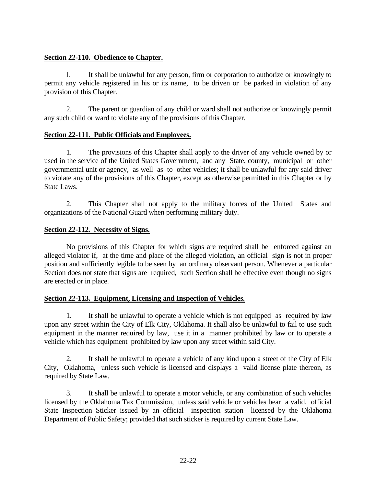# **Section 22-110. Obedience to Chapter.**

l. It shall be unlawful for any person, firm or corporation to authorize or knowingly to permit any vehicle registered in his or its name, to be driven or be parked in violation of any provision of this Chapter.

2. The parent or guardian of any child or ward shall not authorize or knowingly permit any such child or ward to violate any of the provisions of this Chapter.

# **Section 22-111. Public Officials and Employees.**

1. The provisions of this Chapter shall apply to the driver of any vehicle owned by or used in the service of the United States Government, and any State, county, municipal or other governmental unit or agency, as well as to other vehicles; it shall be unlawful for any said driver to violate any of the provisions of this Chapter, except as otherwise permitted in this Chapter or by State Laws.

2. This Chapter shall not apply to the military forces of the United States and organizations of the National Guard when performing military duty.

# **Section 22-112. Necessity of Signs.**

No provisions of this Chapter for which signs are required shall be enforced against an alleged violator if, at the time and place of the alleged violation, an official sign is not in proper position and sufficiently legible to be seen by an ordinary observant person. Whenever a particular Section does not state that signs are required, such Section shall be effective even though no signs are erected or in place.

## **Section 22-113. Equipment, Licensing and Inspection of Vehicles.**

1. It shall be unlawful to operate a vehicle which is not equipped as required by law upon any street within the City of Elk City, Oklahoma. It shall also be unlawful to fail to use such equipment in the manner required by law, use it in a manner prohibited by law or to operate a vehicle which has equipment prohibited by law upon any street within said City.

2. It shall be unlawful to operate a vehicle of any kind upon a street of the City of Elk City, Oklahoma, unless such vehicle is licensed and displays a valid license plate thereon, as required by State Law.

3. It shall be unlawful to operate a motor vehicle, or any combination of such vehicles licensed by the Oklahoma Tax Commission, unless said vehicle or vehicles bear a valid, official State Inspection Sticker issued by an official inspection station licensed by the Oklahoma Department of Public Safety; provided that such sticker is required by current State Law.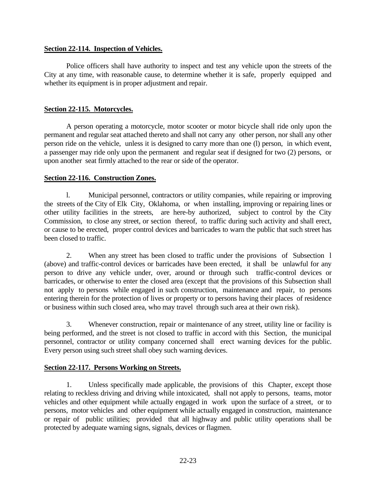#### **Section 22-114. Inspection of Vehicles.**

Police officers shall have authority to inspect and test any vehicle upon the streets of the City at any time, with reasonable cause, to determine whether it is safe, properly equipped and whether its equipment is in proper adjustment and repair.

#### **Section 22-115. Motorcycles.**

A person operating a motorcycle, motor scooter or motor bicycle shall ride only upon the permanent and regular seat attached thereto and shall not carry any other person, nor shall any other person ride on the vehicle, unless it is designed to carry more than one (l) person, in which event, a passenger may ride only upon the permanent and regular seat if designed for two (2) persons, or upon another seat firmly attached to the rear or side of the operator.

#### **Section 22-116. Construction Zones.**

l. Municipal personnel, contractors or utility companies, while repairing or improving the streets of the City of Elk City, Oklahoma, or when installing, improving or repairing lines or other utility facilities in the streets, are here-by authorized, subject to control by the City Commission, to close any street, or section thereof, to traffic during such activity and shall erect, or cause to be erected, proper control devices and barricades to warn the public that such street has been closed to traffic.

2. When any street has been closed to traffic under the provisions of Subsection l (above) and traffic-control devices or barricades have been erected, it shall be unlawful for any person to drive any vehicle under, over, around or through such traffic-control devices or barricades, or otherwise to enter the closed area (except that the provisions of this Subsection shall not apply to persons while engaged in such construction, maintenance and repair, to persons entering therein for the protection of lives or property or to persons having their places of residence or business within such closed area, who may travel through such area at their own risk).

3. Whenever construction, repair or maintenance of any street, utility line or facility is being performed, and the street is not closed to traffic in accord with this Section, the municipal personnel, contractor or utility company concerned shall erect warning devices for the public. Every person using such street shall obey such warning devices.

## **Section 22-117. Persons Working on Streets.**

1. Unless specifically made applicable, the provisions of this Chapter, except those relating to reckless driving and driving while intoxicated, shall not apply to persons, teams, motor vehicles and other equipment while actually engaged in work upon the surface of a street, or to persons, motor vehicles and other equipment while actually engaged in construction, maintenance or repair of public utilities; provided that all highway and public utility operations shall be protected by adequate warning signs, signals, devices or flagmen.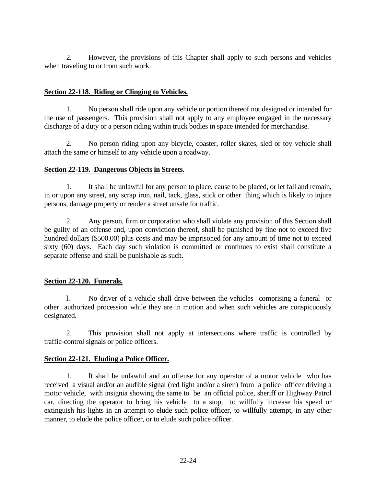2. However, the provisions of this Chapter shall apply to such persons and vehicles when traveling to or from such work.

#### **Section 22-118. Riding or Clinging to Vehicles.**

1. No person shall ride upon any vehicle or portion thereof not designed or intended for the use of passengers. This provision shall not apply to any employee engaged in the necessary discharge of a duty or a person riding within truck bodies in space intended for merchandise.

2. No person riding upon any bicycle, coaster, roller skates, sled or toy vehicle shall attach the same or himself to any vehicle upon a roadway.

#### **Section 22-119. Dangerous Objects in Streets.**

1. It shall be unlawful for any person to place, cause to be placed, or let fall and remain, in or upon any street, any scrap iron, nail, tack, glass, stick or other thing which is likely to injure persons, damage property or render a street unsafe for traffic.

2. Any person, firm or corporation who shall violate any provision of this Section shall be guilty of an offense and, upon conviction thereof, shall be punished by fine not to exceed five hundred dollars (\$500.00) plus costs and may be imprisoned for any amount of time not to exceed sixty (60) days. Each day such violation is committed or continues to exist shall constitute a separate offense and shall be punishable as such.

## **Section 22-120. Funerals.**

l. No driver of a vehicle shall drive between the vehicles comprising a funeral or other authorized procession while they are in motion and when such vehicles are conspicuously designated.

2. This provision shall not apply at intersections where traffic is controlled by traffic-control signals or police officers.

## **Section 22-121. Eluding a Police Officer.**

1. It shall be unlawful and an offense for any operator of a motor vehicle who has received a visual and/or an audible signal (red light and/or a siren) from a police officer driving a motor vehicle, with insignia showing the same to be an official police, sheriff or Highway Patrol car, directing the operator to bring his vehicle to a stop, to willfully increase his speed or extinguish his lights in an attempt to elude such police officer, to willfully attempt, in any other manner, to elude the police officer, or to elude such police officer.